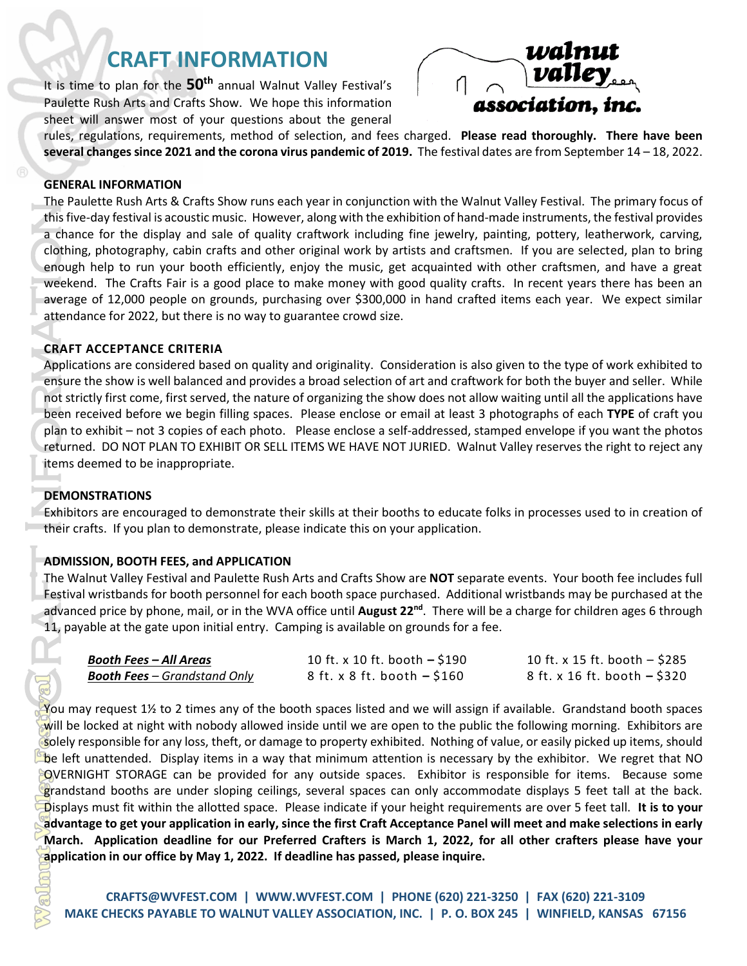# **CRAFT INFORMATION**

It is time to plan for the **50th** annual Walnut Valley Festival's Paulette Rush Arts and Crafts Show. We hope this information sheet will answer most of your questions about the general



rules, regulations, requirements, method of selection, and fees charged. **Please read thoroughly. There have been several changes since 2021 and the corona virus pandemic of 2019.** The festival dates are from September 14 – 18, 2022.

#### **GENERAL INFORMATION**

The P<br>this fi<br>dothil<br>enou, week<br>avera<br>atten<br>craft Appli<br>ensured the P<br>plan information of the P<br>dothil their<br>Exhibit Information The V<br>Festival The V<br>Festival The V<br>Festival The V<br>Festival The V<br>Festival The V<br>Festival The The Paulette Rush Arts & Crafts Show runs each year in conjunction with the Walnut Valley Festival. The primary focus of this five-day festival is acoustic music. However, along with the exhibition of hand-made instruments, the festival provides a chance for the display and sale of quality craftwork including fine jewelry, painting, pottery, leatherwork, carving, clothing, photography, cabin crafts and other original work by artists and craftsmen. If you are selected, plan to bring enough help to run your booth efficiently, enjoy the music, get acquainted with other craftsmen, and have a great weekend. The Crafts Fair is a good place to make money with good quality crafts. In recent years there has been an average of 12,000 people on grounds, purchasing over \$300,000 in hand crafted items each year. We expect similar attendance for 2022, but there is no way to guarantee crowd size.

## **CRAFT ACCEPTANCE CRITERIA**

Applications are considered based on quality and originality. Consideration is also given to the type of work exhibited to ensure the show is well balanced and provides a broad selection of art and craftwork for both the buyer and seller. While not strictly first come, first served, the nature of organizing the show does not allow waiting until all the applications have been received before we begin filling spaces. Please enclose or email at least 3 photographs of each **TYPE** of craft you plan to exhibit – not 3 copies of each photo. Please enclose a self-addressed, stamped envelope if you want the photos returned.DO NOT PLAN TO EXHIBIT OR SELL ITEMS WE HAVE NOT JURIED. Walnut Valley reserves the right to reject any items deemed to be inappropriate.

#### **DEMONSTRATIONS**

Exhibitors are encouraged to demonstrate their skills at their booths to educate folks in processes used to in creation of their crafts. If you plan to demonstrate, please indicate this on your application.

## **ADMISSION, BOOTH FEES, and APPLICATION**

The Walnut Valley Festival and Paulette Rush Arts and Crafts Show are **NOT** separate events. Your booth fee includes full Festival wristbands for booth personnel for each booth space purchased. Additional wristbands may be purchased at the advanced price by phone, mail, or in the WVA office until **August 22nd**. There will be a charge for children ages 6 through 11, payable at the gate upon initial entry. Camping is available on grounds for a fee.

| <b>Booth Fees – All Areas</b>       | 10 ft. x 10 ft. booth $-$ \$190   | 10 ft. x 15 ft. booth $-$ \$285 |
|-------------------------------------|-----------------------------------|---------------------------------|
| <b>Booth Fees</b> – Grandstand Only | $8$ ft. x $8$ ft. booth $-$ \$160 | 8 ft. x 16 ft. booth – \$320    |

You may request 1½ to 2 times any of the booth spaces listed and we will assign if available. Grandstand booth spaces will be locked at night with nobody allowed inside until we are open to the public the following morning. Exhibitors are solely responsible for any loss, theft, or damage to property exhibited. Nothing of value, or easily picked up items, should be left unattended. Display items in a way that minimum attention is necessary by the exhibitor. We regret that NO OVERNIGHT STORAGE can be provided for any outside spaces. Exhibitor is responsible for items. Because some grandstand booths are under sloping ceilings, several spaces can only accommodate displays 5 feet tall at the back. Displays must fit within the allotted space. Please indicate if your height requirements are over 5 feet tall. **It is to your advantage to get your application in early, since the first Craft Acceptance Panel will meet and make selections in early March. Application deadline for our Preferred Crafters is March 1, 2022, for all other crafters please have your application in our office by May 1, 2022. If deadline has passed, please inquire.**

**[CRAFTS@WVFEST.COM](mailto:CRAFTS@WVFEST.COM) | [WWW.WVFEST.COM](http://www.wvfest.com/) | PHONE (620) 221-3250 | FAX (620) 221-3109 MAKE CHECKS PAYABLE TO WALNUT VALLEY ASSOCIATION, INC. | P. O. BOX 245 | WINFIELD, KANSAS 67156**